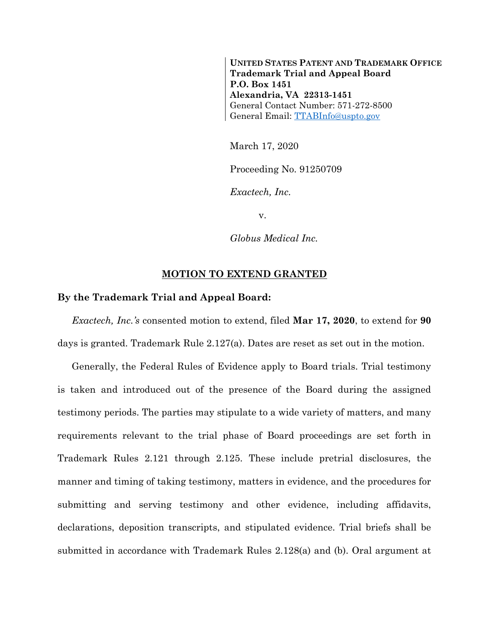**UNITED STATES PATENT AND TRADEMARK OFFICE Trademark Trial and Appeal Board P.O. Box 1451 Alexandria, VA 22313-1451** General Contact Number: 571-272-8500 General Email: [TTABInfo@uspto.gov](mailto:TTABInfo@uspto.gov)

March 17, 2020

Proceeding No. 91250709

*Exactech, Inc.*

v.

*Globus Medical Inc.*

## **MOTION TO EXTEND GRANTED**

## **By the Trademark Trial and Appeal Board:**

*Exactech, Inc.'s* consented motion to extend, filed **Mar 17, 2020**, to extend for **90** days is granted. Trademark Rule 2.127(a). Dates are reset as set out in the motion.

Generally, the Federal Rules of Evidence apply to Board trials. Trial testimony is taken and introduced out of the presence of the Board during the assigned testimony periods. The parties may stipulate to a wide variety of matters, and many requirements relevant to the trial phase of Board proceedings are set forth in Trademark Rules 2.121 through 2.125. These include pretrial disclosures, the manner and timing of taking testimony, matters in evidence, and the procedures for submitting and serving testimony and other evidence, including affidavits, declarations, deposition transcripts, and stipulated evidence. Trial briefs shall be submitted in accordance with Trademark Rules 2.128(a) and (b). Oral argument at